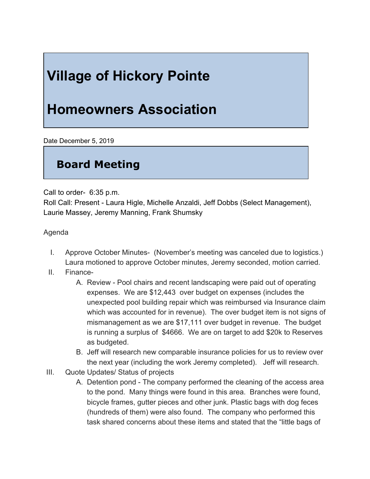## **Village of Hickory Pointe**

## **Homeowners Association**

Date December 5, 2019

## **Board Meeting**

Call to order- 6:35 p.m.

Roll Call: Present - Laura Higle, Michelle Anzaldi, Jeff Dobbs (Select Management), Laurie Massey, Jeremy Manning, Frank Shumsky

Agenda

- I. Approve October Minutes- (November's meeting was canceled due to logistics.) Laura motioned to approve October minutes, Jeremy seconded, motion carried.
- II. Finance-
	- A. Review Pool chairs and recent landscaping were paid out of operating expenses. We are \$12,443 over budget on expenses (includes the unexpected pool building repair which was reimbursed via Insurance claim which was accounted for in revenue). The over budget item is not signs of mismanagement as we are \$17,111 over budget in revenue. The budget is running a surplus of \$4666. We are on target to add \$20k to Reserves as budgeted.
	- B. Jeff will research new comparable insurance policies for us to review over the next year (including the work Jeremy completed). Jeff will research.
- III. Quote Updates/ Status of projects
	- A. Detention pond The company performed the cleaning of the access area to the pond. Many things were found in this area. Branches were found, bicycle frames, gutter pieces and other junk. Plastic bags with dog feces (hundreds of them) were also found. The company who performed this task shared concerns about these items and stated that the "little bags of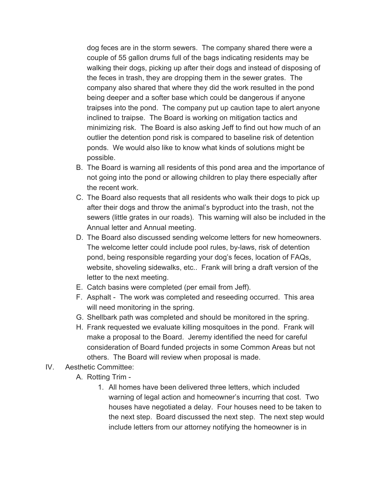dog feces are in the storm sewers. The company shared there were a couple of 55 gallon drums full of the bags indicating residents may be walking their dogs, picking up after their dogs and instead of disposing of the feces in trash, they are dropping them in the sewer grates. The company also shared that where they did the work resulted in the pond being deeper and a softer base which could be dangerous if anyone traipses into the pond. The company put up caution tape to alert anyone inclined to traipse. The Board is working on mitigation tactics and minimizing risk. The Board is also asking Jeff to find out how much of an outlier the detention pond risk is compared to baseline risk of detention ponds. We would also like to know what kinds of solutions might be possible.

- B. The Board is warning all residents of this pond area and the importance of not going into the pond or allowing children to play there especially after the recent work.
- C. The Board also requests that all residents who walk their dogs to pick up after their dogs and throw the animal's byproduct into the trash, not the sewers (little grates in our roads). This warning will also be included in the Annual letter and Annual meeting.
- D. The Board also discussed sending welcome letters for new homeowners. The welcome letter could include pool rules, by-laws, risk of detention pond, being responsible regarding your dog's feces, location of FAQs, website, shoveling sidewalks, etc.. Frank will bring a draft version of the letter to the next meeting.
- E. Catch basins were completed (per email from Jeff).
- F. Asphalt The work was completed and reseeding occurred. This area will need monitoring in the spring.
- G. Shellbark path was completed and should be monitored in the spring.
- H. Frank requested we evaluate killing mosquitoes in the pond. Frank will make a proposal to the Board. Jeremy identified the need for careful consideration of Board funded projects in some Common Areas but not others. The Board will review when proposal is made.
- IV. Aesthetic Committee:
	- A. Rotting Trim
		- 1. All homes have been delivered three letters, which included warning of legal action and homeowner's incurring that cost. Two houses have negotiated a delay. Four houses need to be taken to the next step. Board discussed the next step. The next step would include letters from our attorney notifying the homeowner is in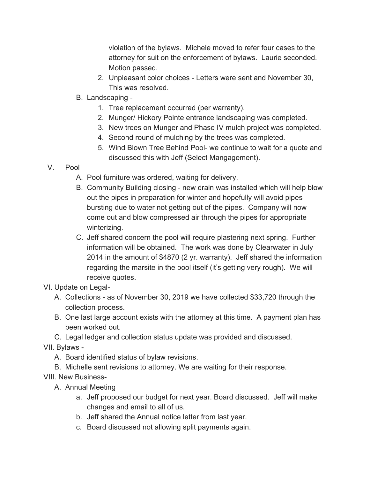violation of the bylaws. Michele moved to refer four cases to the attorney for suit on the enforcement of bylaws. Laurie seconded. Motion passed.

- 2. Unpleasant color choices Letters were sent and November 30, This was resolved.
- B. Landscaping *-*
	- 1. Tree replacement occurred (per warranty).
	- 2. Munger/ Hickory Pointe entrance landscaping was completed.
	- 3. New trees on Munger and Phase IV mulch project was completed.
	- 4. Second round of mulching by the trees was completed.
	- 5. Wind Blown Tree Behind Pool- we continue to wait for a quote and discussed this with Jeff (Select Mangagement).
- V. Pool
	- A. Pool furniture was ordered, waiting for delivery.
	- B. Community Building closing new drain was installed which will help blow out the pipes in preparation for winter and hopefully will avoid pipes bursting due to water not getting out of the pipes. Company will now come out and blow compressed air through the pipes for appropriate winterizing.
	- C. Jeff shared concern the pool will require plastering next spring. Further information will be obtained. The work was done by Clearwater in July 2014 in the amount of \$4870 (2 yr. warranty). Jeff shared the information regarding the marsite in the pool itself (it's getting very rough). We will receive quotes.
- VI. Update on Legal-
	- A. Collections as of November 30, 2019 we have collected \$33,720 through the collection process.
	- B. One last large account exists with the attorney at this time. A payment plan has been worked out.
	- C. Legal ledger and collection status update was provided and discussed.

VII. Bylaws -

- A. Board identified status of bylaw revisions.
- B. Michelle sent revisions to attorney. We are waiting for their response.

VIII. New Business-

- A. Annual Meeting
	- a. Jeff proposed our budget for next year. Board discussed. Jeff will make changes and email to all of us.
	- b. Jeff shared the Annual notice letter from last year.
	- c. Board discussed not allowing split payments again.